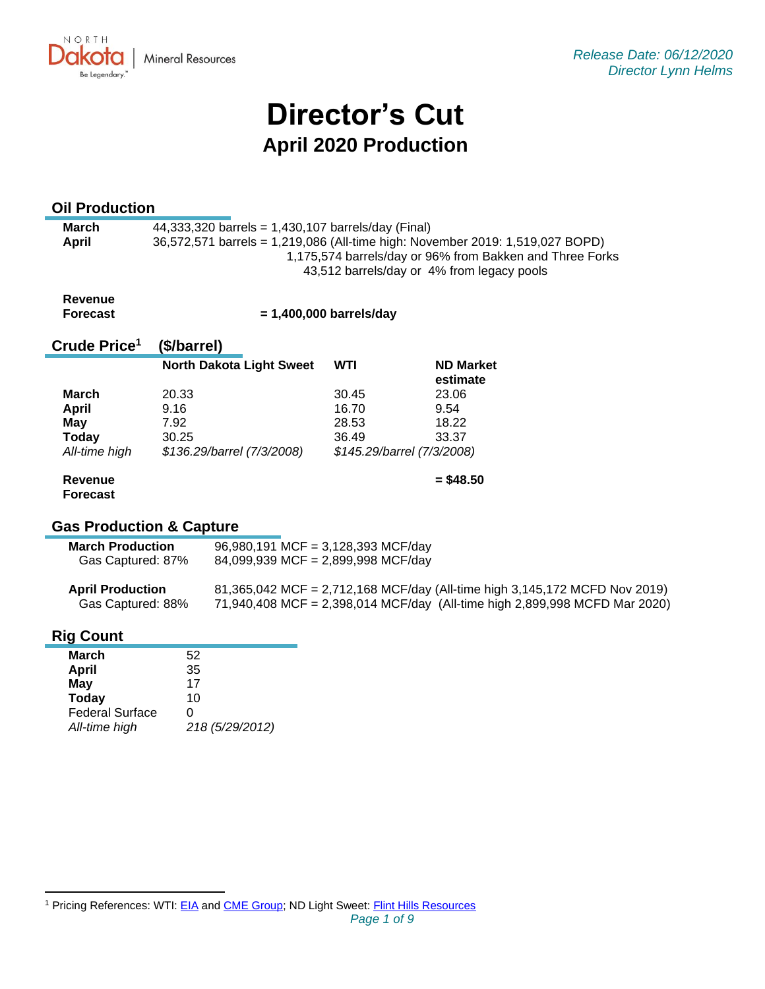NORTH UKV. **Mineral Resources** Be Legendary.

# **Director's Cut April 2020 Production**

# **Oil Production**

| March | 44,333,320 barrels = 1,430,107 barrels/day (Final)                                                     |
|-------|--------------------------------------------------------------------------------------------------------|
| April | 36,572,571 barrels = 1,219,086 (All-time high: November 2019: 1,519,027 BOPD)                          |
|       | 1,175,574 barrels/day or 96% from Bakken and Three Forks<br>43,512 barrels/day or 4% from legacy pools |
|       |                                                                                                        |

#### **Revenue Forecast**

 **= 1,400,000 barrels/day**

#### **Crude Price 1 (\$/barrel)**

|               | <b>North Dakota Light Sweet</b> | <b>WTI</b> | <b>ND Market</b><br>estimate |
|---------------|---------------------------------|------------|------------------------------|
| March         | 20.33                           | 30.45      | 23.06                        |
| April         | 9.16                            | 16.70      | 9.54                         |
| May           | 7.92                            | 28.53      | 18.22                        |
| <b>Today</b>  | 30.25                           | 36.49      | 33.37                        |
| All-time high | \$136.29/barrel (7/3/2008)      |            | \$145.29/barrel (7/3/2008)   |
| Revenue       |                                 |            | $=$ \$48.50                  |

# **Forecast**

# **Gas Production & Capture**

| <b>March Production</b> | 96,980,191 MCF = 3,128,393 MCF/day |
|-------------------------|------------------------------------|
| Gas Captured: 87%       | 84,099,939 MCF = 2,899,998 MCF/day |

| <b>April Production</b> | 81,365,042 MCF = 2,712,168 MCF/day (All-time high 3,145,172 MCFD Nov 2019) |
|-------------------------|----------------------------------------------------------------------------|
| Gas Captured: 88%       | 71,940,408 MCF = 2,398,014 MCF/day (All-time high 2,899,998 MCFD Mar 2020) |

# **Rig Count**

| March                  | 52              |
|------------------------|-----------------|
| <b>April</b>           | 35              |
| May                    | 17              |
| <b>Today</b>           | 10              |
| <b>Federal Surface</b> | O               |
| All-time high          | 218 (5/29/2012) |

<sup>&</sup>lt;sup>1</sup> Pricing References: WTI: [EIA](https://www.eia.gov/dnav/pet/hist/LeafHandler.ashx?n=PET&s=RCLC1&f=M) and [CME Group;](https://www.cmegroup.com/trading/energy/crude-oil/light-sweet-crude.html) ND Light Sweet: [Flint Hills Resources](https://www.fhr.com/products-services/fuels-and-aromatics)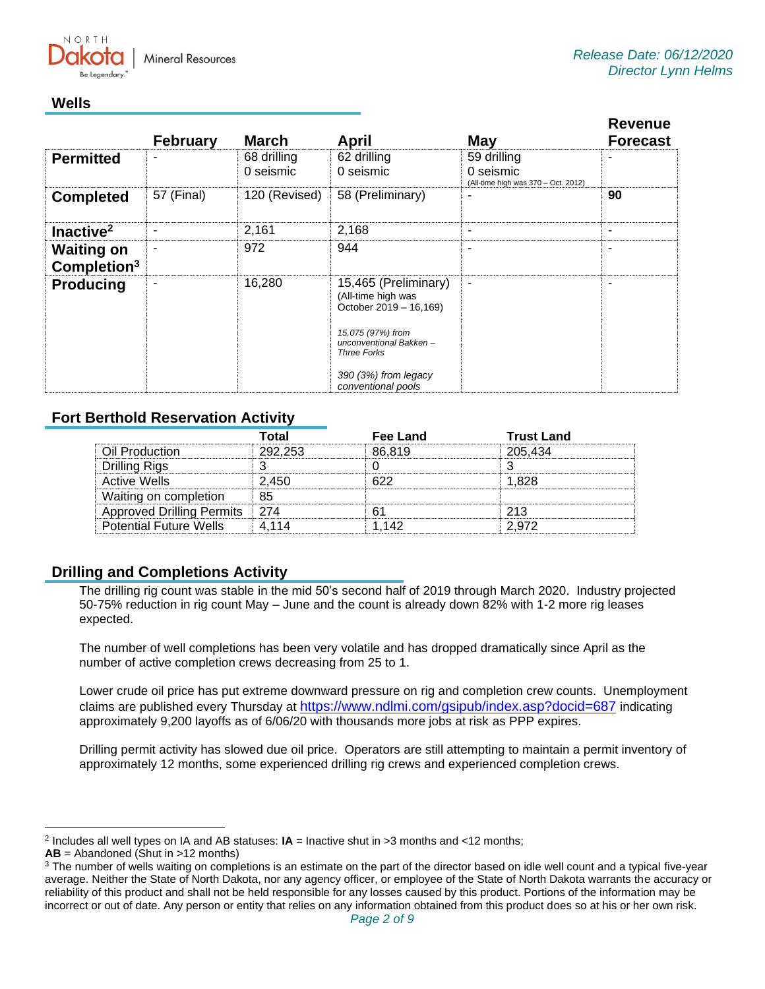

# **Wells**

|                                              | <b>February</b> | <b>March</b>             | <b>April</b>                                                                                                                                                                             | <b>May</b>                                                      | <b>Revenue</b><br><b>Forecast</b> |
|----------------------------------------------|-----------------|--------------------------|------------------------------------------------------------------------------------------------------------------------------------------------------------------------------------------|-----------------------------------------------------------------|-----------------------------------|
| <b>Permitted</b>                             | -               | 68 drilling<br>0 seismic | 62 drilling<br>0 seismic                                                                                                                                                                 | 59 drilling<br>0 seismic<br>(All-time high was 370 - Oct. 2012) | ۰                                 |
| <b>Completed</b>                             | 57 (Final)      | 120 (Revised)            | 58 (Preliminary)                                                                                                                                                                         | ۰                                                               | 90                                |
| Inactive <sup>2</sup>                        | ۰               | 2,161                    | 2,168                                                                                                                                                                                    | ۰                                                               | $\blacksquare$                    |
| <b>Waiting on</b><br>Completion <sup>3</sup> | ٠               | 972                      | 944                                                                                                                                                                                      | ۰                                                               |                                   |
| <b>Producing</b>                             | ۰               | 16,280                   | 15,465 (Preliminary)<br>(All-time high was<br>October 2019 - 16,169)<br>15,075 (97%) from<br>unconventional Bakken-<br><b>Three Forks</b><br>$390(3%)$ from legacy<br>conventional pools | $\blacksquare$                                                  | $\overline{\phantom{a}}$          |

# **Fort Berthold Reservation Activity**

|                               | Total   | Fee Land | <b>Trust Land</b> |
|-------------------------------|---------|----------|-------------------|
| Oil Production                | 292.253 | 86.819   | 205,434           |
| Drilling Rigs                 |         |          |                   |
| <b>Active Wells</b>           | 2 450   |          | 1 828             |
| Waiting on completion         | 85      |          |                   |
| Approved Drilling Permits 274 |         |          | クイマ               |
| <b>Potential Future Wells</b> | 4 114   | -142     | 2.972             |

# **Drilling and Completions Activity**

The drilling rig count was stable in the mid 50's second half of 2019 through March 2020. Industry projected 50-75% reduction in rig count May – June and the count is already down 82% with 1-2 more rig leases expected.

The number of well completions has been very volatile and has dropped dramatically since April as the number of active completion crews decreasing from 25 to 1.

Lower crude oil price has put extreme downward pressure on rig and completion crew counts. Unemployment claims are published every Thursday at <https://www.ndlmi.com/gsipub/index.asp?docid=687> indicating approximately 9,200 layoffs as of 6/06/20 with thousands more jobs at risk as PPP expires.

Drilling permit activity has slowed due oil price. Operators are still attempting to maintain a permit inventory of approximately 12 months, some experienced drilling rig crews and experienced completion crews.

<sup>2</sup> Includes all well types on IA and AB statuses: **IA** = Inactive shut in >3 months and <12 months;

**AB** = Abandoned (Shut in >12 months)

<sup>&</sup>lt;sup>3</sup> The number of wells waiting on completions is an estimate on the part of the director based on idle well count and a typical five-year average. Neither the State of North Dakota, nor any agency officer, or employee of the State of North Dakota warrants the accuracy or reliability of this product and shall not be held responsible for any losses caused by this product. Portions of the information may be incorrect or out of date. Any person or entity that relies on any information obtained from this product does so at his or her own risk.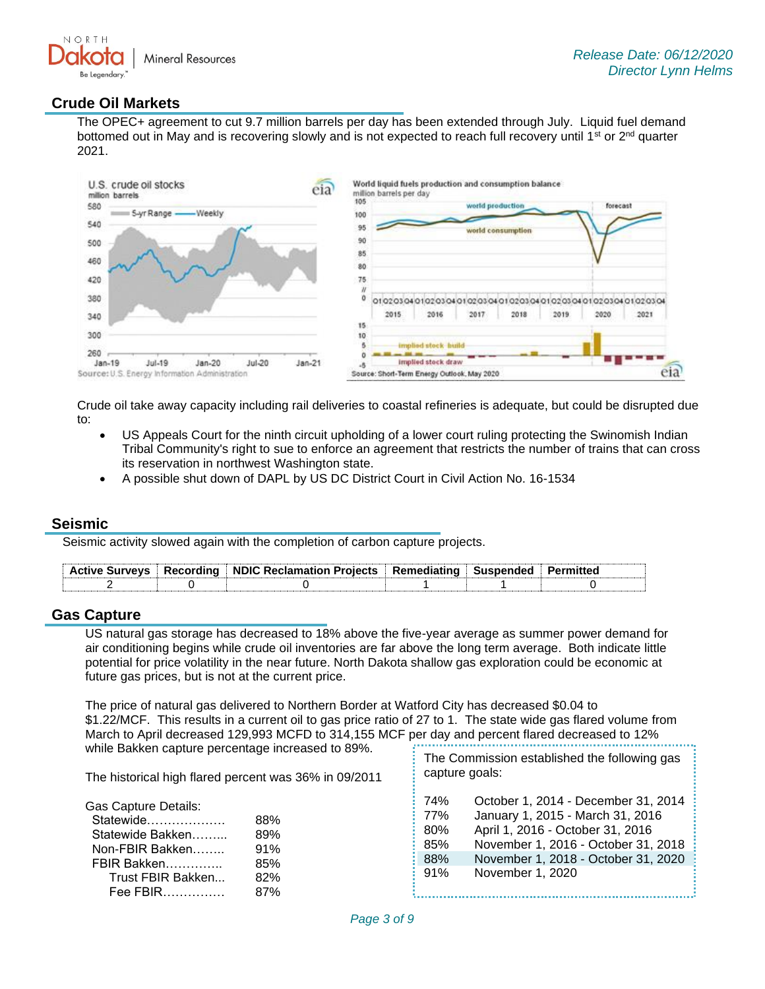

### **Crude Oil Markets**

The OPEC+ agreement to cut 9.7 million barrels per day has been extended through July. Liquid fuel demand bottomed out in May and is recovering slowly and is not expected to reach full recovery until 1<sup>st</sup> or 2<sup>nd</sup> quarter 2021.



Crude oil take away capacity including rail deliveries to coastal refineries is adequate, but could be disrupted due to:

- US Appeals Court for the ninth circuit upholding of a lower court ruling protecting the Swinomish Indian Tribal Community's right to sue to enforce an agreement that restricts the number of trains that can cross its reservation in northwest Washington state.
- A possible shut down of DAPL by US DC District Court in Civil Action No. 16-1534

#### **Seismic**

Seismic activity slowed again with the completion of carbon capture projects.

|  | Active Surveys   Recording   NDIC Reclamation Projects   Remediating   Suspended   Permitted |  |  |
|--|----------------------------------------------------------------------------------------------|--|--|
|  |                                                                                              |  |  |

#### **Gas Capture**

US natural gas storage has decreased to 18% above the five-year average as summer power demand for air conditioning begins while crude oil inventories are far above the long term average. Both indicate little potential for price volatility in the near future. North Dakota shallow gas exploration could be economic at future gas prices, but is not at the current price.

The price of natural gas delivered to Northern Border at Watford City has decreased \$0.04 to \$1.22/MCF. This results in a current oil to gas price ratio of 27 to 1. The state wide gas flared volume from March to April decreased 129,993 MCFD to 314,155 MCF per day and percent flared decreased to 12% while Bakken capture percentage increased to 89%. The Commission established the following gas

| The historical high flared percent was 36% in 09/2011                                                                    |                                        |                                        | capture goals:                                                                                                                                                                                                |  |  |
|--------------------------------------------------------------------------------------------------------------------------|----------------------------------------|----------------------------------------|---------------------------------------------------------------------------------------------------------------------------------------------------------------------------------------------------------------|--|--|
| Gas Capture Details:<br>Statewide<br>Statewide Bakken<br>Non-FBIR Bakken<br>FBIR Bakken<br>Trust FBIR Bakken<br>Fee FBIR | 88%<br>89%<br>91%<br>85%<br>82%<br>87% | 74%<br>77%<br>80%<br>85%<br>88%<br>91% | October 1, 2014 - December 31, 2014<br>January 1, 2015 - March 31, 2016<br>April 1, 2016 - October 31, 2016<br>November 1, 2016 - October 31, 2018<br>November 1, 2018 - October 31, 2020<br>November 1, 2020 |  |  |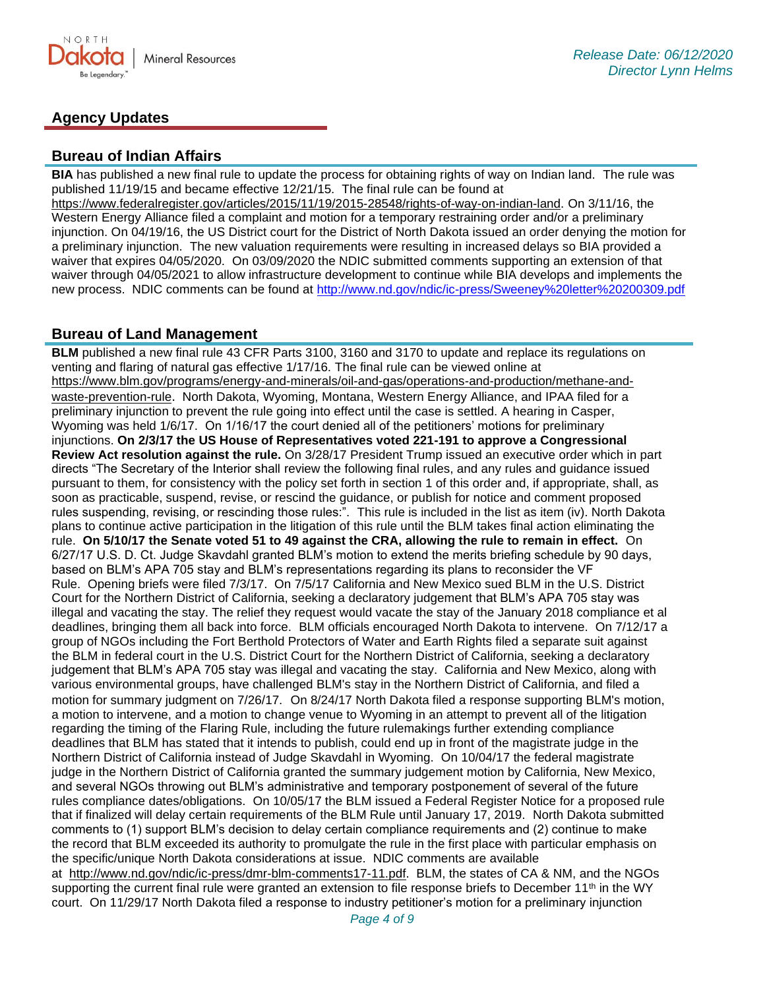

# **Agency Updates**

#### **Bureau of Indian Affairs**

**BIA** has published a new final rule to update the process for obtaining rights of way on Indian land. The rule was published 11/19/15 and became effective 12/21/15. The final rule can be found at [https://www.federalregister.gov/articles/2015/11/19/2015-28548/rights-of-way-on-indian-land.](https://www.federalregister.gov/articles/2015/11/19/2015-28548/rights-of-way-on-indian-land) On 3/11/16, the Western Energy Alliance filed a complaint and motion for a temporary restraining order and/or a preliminary injunction. On 04/19/16, the US District court for the District of North Dakota issued an order denying the motion for a preliminary injunction. The new valuation requirements were resulting in increased delays so BIA provided a waiver that expires 04/05/2020. On 03/09/2020 the NDIC submitted comments supporting an extension of that waiver through 04/05/2021 to allow infrastructure development to continue while BIA develops and implements the new process. NDIC comments can be found at<http://www.nd.gov/ndic/ic-press/Sweeney%20letter%20200309.pdf>

#### **Bureau of Land Management**

**BLM** published a new final rule 43 CFR Parts 3100, 3160 and 3170 to update and replace its regulations on venting and flaring of natural gas effective 1/17/16. The final rule can be viewed online at [https://www.blm.gov/programs/energy-and-minerals/oil-and-gas/operations-and-production/methane-and](https://www.blm.gov/programs/energy-and-minerals/oil-and-gas/operations-and-production/methane-and-waste-prevention-rule)[waste-prevention-rule](https://www.blm.gov/programs/energy-and-minerals/oil-and-gas/operations-and-production/methane-and-waste-prevention-rule). North Dakota, Wyoming, Montana, Western Energy Alliance, and IPAA filed for a preliminary injunction to prevent the rule going into effect until the case is settled. A hearing in Casper, Wyoming was held 1/6/17. On 1/16/17 the court denied all of the petitioners' motions for preliminary injunctions. **On 2/3/17 the US House of Representatives voted 221-191 to approve a Congressional Review Act resolution against the rule.** On 3/28/17 President Trump issued an executive order which in part directs "The Secretary of the Interior shall review the following final rules, and any rules and guidance issued pursuant to them, for consistency with the policy set forth in section 1 of this order and, if appropriate, shall, as soon as practicable, suspend, revise, or rescind the guidance, or publish for notice and comment proposed rules suspending, revising, or rescinding those rules:". This rule is included in the list as item (iv). North Dakota plans to continue active participation in the litigation of this rule until the BLM takes final action eliminating the rule. **On 5/10/17 the Senate voted 51 to 49 against the CRA, allowing the rule to remain in effect.** On 6/27/17 U.S. D. Ct. Judge Skavdahl granted BLM's motion to extend the merits briefing schedule by 90 days, based on BLM's APA 705 stay and BLM's representations regarding its plans to reconsider the VF Rule. Opening briefs were filed 7/3/17. On 7/5/17 California and New Mexico sued BLM in the U.S. District Court for the Northern District of California, seeking a declaratory judgement that BLM's APA 705 stay was illegal and vacating the stay. The relief they request would vacate the stay of the January 2018 compliance et al deadlines, bringing them all back into force. BLM officials encouraged North Dakota to intervene. On 7/12/17 a group of NGOs including the Fort Berthold Protectors of Water and Earth Rights filed a separate suit against the BLM in federal court in the U.S. District Court for the Northern District of California, seeking a declaratory judgement that BLM's APA 705 stay was illegal and vacating the stay. California and New Mexico, along with various environmental groups, have challenged BLM's stay in the Northern District of California, and filed a motion for summary judgment on 7/26/17. On 8/24/17 North Dakota filed a response supporting BLM's motion, a motion to intervene, and a motion to change venue to Wyoming in an attempt to prevent all of the litigation regarding the timing of the Flaring Rule, including the future rulemakings further extending compliance deadlines that BLM has stated that it intends to publish, could end up in front of the magistrate judge in the Northern District of California instead of Judge Skavdahl in Wyoming. On 10/04/17 the federal magistrate judge in the Northern District of California granted the summary judgement motion by California, New Mexico, and several NGOs throwing out BLM's administrative and temporary postponement of several of the future rules compliance dates/obligations. On 10/05/17 the BLM issued a Federal Register Notice for a proposed rule that if finalized will delay certain requirements of the BLM Rule until January 17, 2019. North Dakota submitted comments to (1) support BLM's decision to delay certain compliance requirements and (2) continue to make the record that BLM exceeded its authority to promulgate the rule in the first place with particular emphasis on the specific/unique North Dakota considerations at issue. NDIC comments are available

at [http://www.nd.gov/ndic/ic-press/dmr-blm-comments17-11.pdf.](http://www.nd.gov/ndic/ic-press/dmr-blm-comments17-11.pdf) BLM, the states of CA & NM, and the NGOs supporting the current final rule were granted an extension to file response briefs to December 11<sup>th</sup> in the WY court. On 11/29/17 North Dakota filed a response to industry petitioner's motion for a preliminary injunction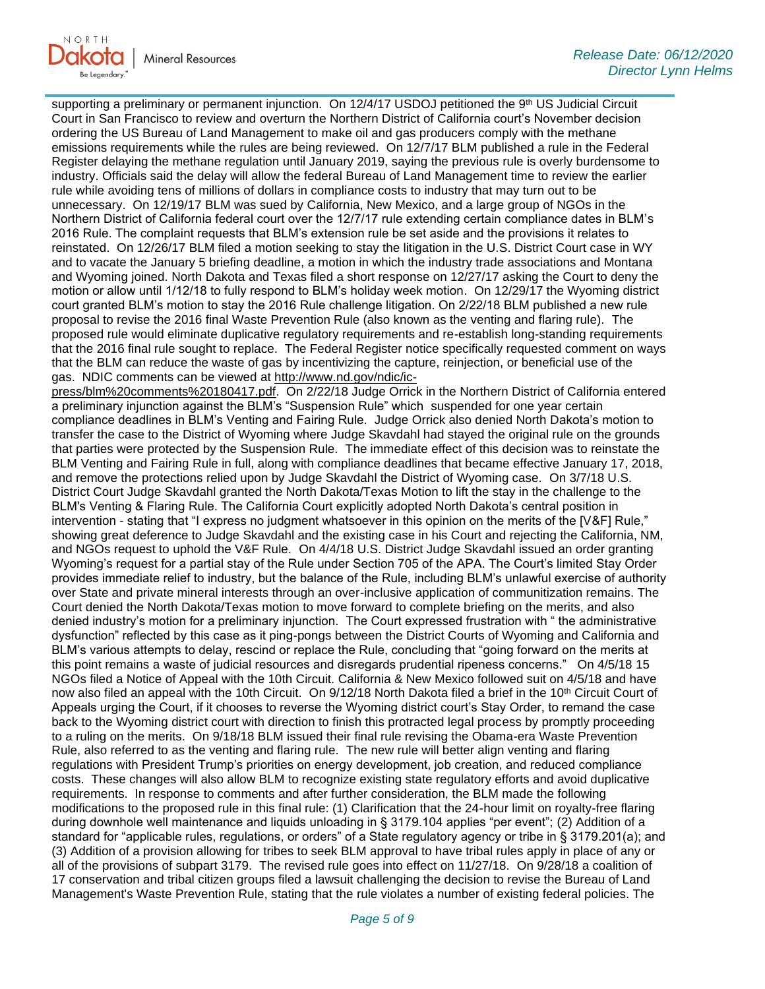supporting a preliminary or permanent injunction. On 12/4/17 USDOJ petitioned the 9th US Judicial Circuit Court in San Francisco to review and overturn the Northern District of California court's November decision ordering the US Bureau of Land Management to make oil and gas producers comply with the methane emissions requirements while the rules are being reviewed. On 12/7/17 BLM published a rule in the Federal Register delaying the methane regulation until January 2019, saying the previous rule is overly burdensome to industry. Officials said the delay will allow the federal Bureau of Land Management time to review the earlier rule while avoiding tens of millions of dollars in compliance costs to industry that may turn out to be unnecessary. On 12/19/17 BLM was sued by California, New Mexico, and a large group of NGOs in the Northern District of California federal court over the 12/7/17 rule extending certain compliance dates in BLM's 2016 Rule. The complaint requests that BLM's extension rule be set aside and the provisions it relates to reinstated. On 12/26/17 BLM filed a motion seeking to stay the litigation in the U.S. District Court case in WY and to vacate the January 5 briefing deadline, a motion in which the industry trade associations and Montana and Wyoming joined. North Dakota and Texas filed a short response on 12/27/17 asking the Court to deny the motion or allow until 1/12/18 to fully respond to BLM's holiday week motion. On 12/29/17 the Wyoming district court granted BLM's motion to stay the 2016 Rule challenge litigation. On 2/22/18 BLM published a new rule proposal to revise the 2016 final Waste Prevention Rule (also known as the venting and flaring rule). The proposed rule would eliminate duplicative regulatory requirements and re-establish long-standing requirements that the 2016 final rule sought to replace. The Federal Register notice specifically requested comment on ways that the BLM can reduce the waste of gas by incentivizing the capture, reinjection, or beneficial use of the gas. NDIC comments can be viewed at [http://www.nd.gov/ndic/ic-](http://www.nd.gov/ndic/ic-press/blm%20comments%20180417.pdf)

[press/blm%20comments%20180417.pdf.](http://www.nd.gov/ndic/ic-press/blm%20comments%20180417.pdf) On 2/22/18 Judge Orrick in the Northern District of California entered a preliminary injunction against the BLM's "Suspension Rule" which suspended for one year certain compliance deadlines in BLM's Venting and Fairing Rule. Judge Orrick also denied North Dakota's motion to transfer the case to the District of Wyoming where Judge Skavdahl had stayed the original rule on the grounds that parties were protected by the Suspension Rule. The immediate effect of this decision was to reinstate the BLM Venting and Fairing Rule in full, along with compliance deadlines that became effective January 17, 2018, and remove the protections relied upon by Judge Skavdahl the District of Wyoming case. On 3/7/18 U.S. District Court Judge Skavdahl granted the North Dakota/Texas Motion to lift the stay in the challenge to the BLM's Venting & Flaring Rule. The California Court explicitly adopted North Dakota's central position in intervention - stating that "I express no judgment whatsoever in this opinion on the merits of the [V&F] Rule," showing great deference to Judge Skavdahl and the existing case in his Court and rejecting the California, NM, and NGOs request to uphold the V&F Rule. On 4/4/18 U.S. District Judge Skavdahl issued an order granting Wyoming's request for a partial stay of the Rule under Section 705 of the APA. The Court's limited Stay Order provides immediate relief to industry, but the balance of the Rule, including BLM's unlawful exercise of authority over State and private mineral interests through an over-inclusive application of communitization remains. The Court denied the North Dakota/Texas motion to move forward to complete briefing on the merits, and also denied industry's motion for a preliminary injunction. The Court expressed frustration with " the administrative dysfunction" reflected by this case as it ping-pongs between the District Courts of Wyoming and California and BLM's various attempts to delay, rescind or replace the Rule, concluding that "going forward on the merits at this point remains a waste of judicial resources and disregards prudential ripeness concerns." On 4/5/18 15 NGOs filed a Notice of Appeal with the 10th Circuit. California & New Mexico followed suit on 4/5/18 and have now also filed an appeal with the 10th Circuit. On 9/12/18 North Dakota filed a brief in the 10<sup>th</sup> Circuit Court of Appeals urging the Court, if it chooses to reverse the Wyoming district court's Stay Order, to remand the case back to the Wyoming district court with direction to finish this protracted legal process by promptly proceeding to a ruling on the merits. On 9/18/18 BLM issued their final rule revising the Obama-era Waste Prevention Rule, also referred to as the venting and flaring rule. The new rule will better align venting and flaring regulations with President Trump's priorities on energy development, job creation, and reduced compliance costs. These changes will also allow BLM to recognize existing state regulatory efforts and avoid duplicative requirements. In response to comments and after further consideration, the BLM made the following modifications to the proposed rule in this final rule: (1) Clarification that the 24-hour limit on royalty-free flaring during downhole well maintenance and liquids unloading in § 3179.104 applies "per event"; (2) Addition of a standard for "applicable rules, regulations, or orders" of a State regulatory agency or tribe in § 3179.201(a); and (3) Addition of a provision allowing for tribes to seek BLM approval to have tribal rules apply in place of any or all of the provisions of subpart 3179. The revised rule goes into effect on 11/27/18. On 9/28/18 a coalition of 17 conservation and tribal citizen groups filed a lawsuit challenging the decision to revise the Bureau of Land Management's Waste Prevention Rule, stating that the rule violates a number of existing federal policies. The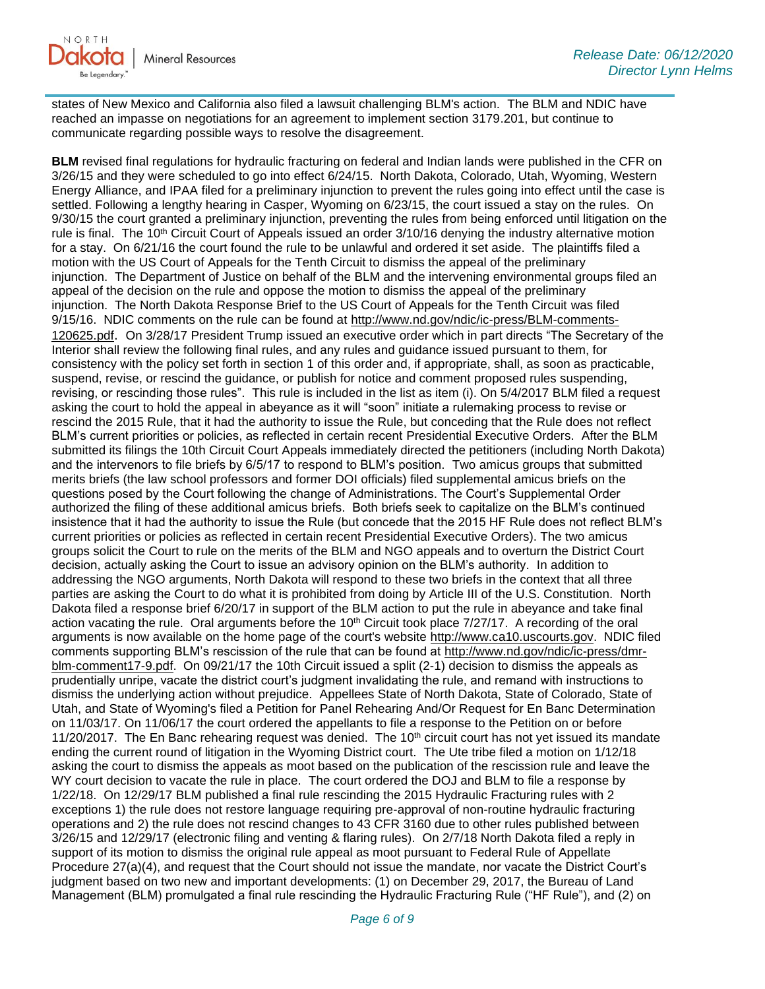

states of New Mexico and California also filed a lawsuit challenging BLM's action. The BLM and NDIC have reached an impasse on negotiations for an agreement to implement section 3179.201, but continue to communicate regarding possible ways to resolve the disagreement.

**BLM** revised final regulations for hydraulic fracturing on federal and Indian lands were published in the CFR on 3/26/15 and they were scheduled to go into effect 6/24/15. North Dakota, Colorado, Utah, Wyoming, Western Energy Alliance, and IPAA filed for a preliminary injunction to prevent the rules going into effect until the case is settled. Following a lengthy hearing in Casper, Wyoming on 6/23/15, the court issued a stay on the rules. On 9/30/15 the court granted a preliminary injunction, preventing the rules from being enforced until litigation on the rule is final. The 10<sup>th</sup> Circuit Court of Appeals issued an order 3/10/16 denying the industry alternative motion for a stay. On 6/21/16 the court found the rule to be unlawful and ordered it set aside. The plaintiffs filed a motion with the US Court of Appeals for the Tenth Circuit to dismiss the appeal of the preliminary injunction. The Department of Justice on behalf of the BLM and the intervening environmental groups filed an appeal of the decision on the rule and oppose the motion to dismiss the appeal of the preliminary injunction. The North Dakota Response Brief to the US Court of Appeals for the Tenth Circuit was filed 9/15/16. NDIC comments on the rule can be found at [http://www.nd.gov/ndic/ic-press/BLM-comments-](http://www.nd.gov/ndic/ic-press/BLM-comments-120625.pdf)[120625.pdf](http://www.nd.gov/ndic/ic-press/BLM-comments-120625.pdf). On 3/28/17 President Trump issued an executive order which in part directs "The Secretary of the Interior shall review the following final rules, and any rules and guidance issued pursuant to them, for consistency with the policy set forth in section 1 of this order and, if appropriate, shall, as soon as practicable, suspend, revise, or rescind the guidance, or publish for notice and comment proposed rules suspending, revising, or rescinding those rules". This rule is included in the list as item (i). On 5/4/2017 BLM filed a request asking the court to hold the appeal in abeyance as it will "soon" initiate a rulemaking process to revise or rescind the 2015 Rule, that it had the authority to issue the Rule, but conceding that the Rule does not reflect BLM's current priorities or policies, as reflected in certain recent Presidential Executive Orders. After the BLM submitted its filings the 10th Circuit Court Appeals immediately directed the petitioners (including North Dakota) and the intervenors to file briefs by 6/5/17 to respond to BLM's position. Two amicus groups that submitted merits briefs (the law school professors and former DOI officials) filed supplemental amicus briefs on the questions posed by the Court following the change of Administrations. The Court's Supplemental Order authorized the filing of these additional amicus briefs. Both briefs seek to capitalize on the BLM's continued insistence that it had the authority to issue the Rule (but concede that the 2015 HF Rule does not reflect BLM's current priorities or policies as reflected in certain recent Presidential Executive Orders). The two amicus groups solicit the Court to rule on the merits of the BLM and NGO appeals and to overturn the District Court decision, actually asking the Court to issue an advisory opinion on the BLM's authority. In addition to addressing the NGO arguments, North Dakota will respond to these two briefs in the context that all three parties are asking the Court to do what it is prohibited from doing by Article III of the U.S. Constitution. North Dakota filed a response brief 6/20/17 in support of the BLM action to put the rule in abeyance and take final action vacating the rule. Oral arguments before the  $10<sup>th</sup>$  Circuit took place  $7/27/17$ . A recording of the oral arguments is now available on the home page of the court's website [http://www.ca10.uscourts.gov.](https://urldefense.proofpoint.com/v2/url?u=http-3A__www.ca10.uscourts.gov&d=DwMGaQ&c=2s2mvbfY0UoSKkl6_Ol9wg&r=-wqsZnBxny594KY8HeElow&m=Ul_VtJUX6iW5pvHjCcBxUWtskC0F4Dhry3sPtcEHvCw&s=laRHiLDv5w8otcQWQjpn82WMieoB2AZ-Q4M1LFQPL5s&e=) NDIC filed comments supporting BLM's rescission of the rule that can be found at [http://www.nd.gov/ndic/ic-press/dmr](http://www.nd.gov/ndic/ic-press/dmr-blm-comment17-9.pdf)[blm-comment17-9.pdf.](http://www.nd.gov/ndic/ic-press/dmr-blm-comment17-9.pdf) On 09/21/17 the 10th Circuit issued a split (2-1) decision to dismiss the appeals as prudentially unripe, vacate the district court's judgment invalidating the rule, and remand with instructions to dismiss the underlying action without prejudice. Appellees State of North Dakota, State of Colorado, State of Utah, and State of Wyoming's filed a Petition for Panel Rehearing And/Or Request for En Banc Determination on 11/03/17. On 11/06/17 the court ordered the appellants to file a response to the Petition on or before 11/20/2017. The En Banc rehearing request was denied. The  $10<sup>th</sup>$  circuit court has not yet issued its mandate ending the current round of litigation in the Wyoming District court. The Ute tribe filed a motion on 1/12/18 asking the court to dismiss the appeals as moot based on the publication of the rescission rule and leave the WY court decision to vacate the rule in place. The court ordered the DOJ and BLM to file a response by 1/22/18. On 12/29/17 BLM published a final rule rescinding the 2015 Hydraulic Fracturing rules with 2 exceptions 1) the rule does not restore language requiring pre-approval of non-routine hydraulic fracturing operations and 2) the rule does not rescind changes to 43 CFR 3160 due to other rules published between 3/26/15 and 12/29/17 (electronic filing and venting & flaring rules). On 2/7/18 North Dakota filed a reply in support of its motion to dismiss the original rule appeal as moot pursuant to Federal Rule of Appellate Procedure 27(a)(4), and request that the Court should not issue the mandate, nor vacate the District Court's judgment based on two new and important developments: (1) on December 29, 2017, the Bureau of Land Management (BLM) promulgated a final rule rescinding the Hydraulic Fracturing Rule ("HF Rule"), and (2) on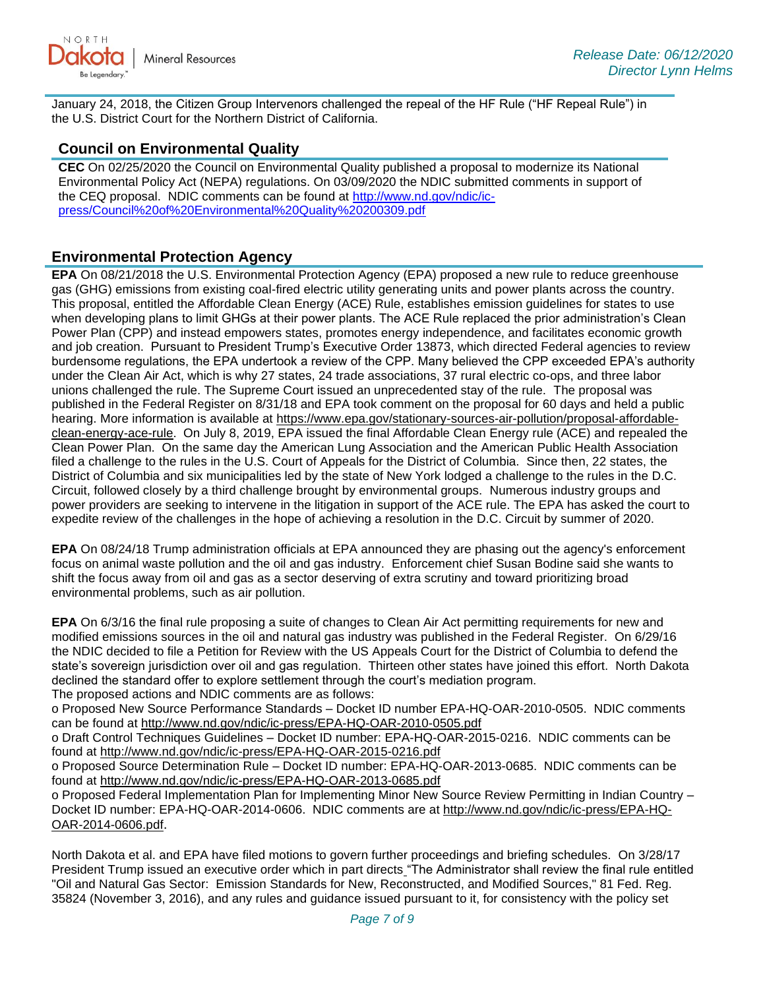

January 24, 2018, the Citizen Group Intervenors challenged the repeal of the HF Rule ("HF Repeal Rule") in the U.S. District Court for the Northern District of California.

### **Council on Environmental Quality**

**CEC** On 02/25/2020 the Council on Environmental Quality published a proposal to modernize its National Environmental Policy Act (NEPA) regulations. On 03/09/2020 the NDIC submitted comments in support of the CEQ proposal. NDIC comments can be found at [http://www.nd.gov/ndic/ic](http://www.nd.gov/ndic/ic-press/Council%20of%20Environmental%20Quality%20200309.pdf)[press/Council%20of%20Environmental%20Quality%20200309.pdf](http://www.nd.gov/ndic/ic-press/Council%20of%20Environmental%20Quality%20200309.pdf)

#### **Environmental Protection Agency**

**EPA** On 08/21/2018 the U.S. Environmental Protection Agency (EPA) proposed a new rule to reduce greenhouse gas (GHG) emissions from existing coal-fired electric utility generating units and power plants across the country. This proposal, entitled the Affordable Clean Energy (ACE) Rule, establishes emission guidelines for states to use when developing plans to limit GHGs at their power plants. The ACE Rule replaced the prior administration's Clean Power Plan (CPP) and instead empowers states, promotes energy independence, and facilitates economic growth and job creation. Pursuant to President Trump's Executive Order 13873, which directed Federal agencies to review burdensome regulations, the EPA undertook a review of the CPP. Many believed the CPP exceeded EPA's authority under the Clean Air Act, which is why 27 states, 24 trade associations, 37 rural electric co-ops, and three labor unions challenged the rule. The Supreme Court issued an unprecedented stay of the rule. The proposal was published in the Federal Register on 8/31/18 and EPA took comment on the proposal for 60 days and held a public hearing. More information is available at [https://www.epa.gov/stationary-sources-air-pollution/proposal-affordable](https://www.epa.gov/stationary-sources-air-pollution/proposal-affordable-clean-energy-ace-rule)[clean-energy-ace-rule.](https://www.epa.gov/stationary-sources-air-pollution/proposal-affordable-clean-energy-ace-rule) On July 8, 2019, EPA issued the final Affordable Clean Energy rule (ACE) and repealed the Clean Power Plan. On the same day the American Lung Association and the American Public Health Association filed a challenge to the rules in the U.S. Court of Appeals for the District of Columbia. Since then, 22 states, the District of Columbia and six municipalities led by the state of New York lodged a challenge to the rules in the D.C. Circuit, followed closely by a third challenge brought by environmental groups. Numerous industry groups and power providers are seeking to intervene in the litigation in support of the ACE rule. The EPA has asked the court to expedite review of the challenges in the hope of achieving a resolution in the D.C. Circuit by summer of 2020.

**EPA** On 08/24/18 Trump administration officials at EPA announced they are phasing out the agency's enforcement focus on animal waste pollution and the oil and gas industry. Enforcement chief Susan Bodine said she wants to shift the focus away from oil and gas as a sector deserving of extra scrutiny and toward prioritizing broad environmental problems, such as air pollution.

**EPA** On 6/3/16 the final rule proposing a suite of changes to Clean Air Act permitting requirements for new and modified emissions sources in the oil and natural gas industry was published in the Federal Register. On 6/29/16 the NDIC decided to file a Petition for Review with the US Appeals Court for the District of Columbia to defend the state's sovereign jurisdiction over oil and gas regulation. Thirteen other states have joined this effort. North Dakota declined the standard offer to explore settlement through the court's mediation program. The proposed actions and NDIC comments are as follows:

o Proposed New Source Performance Standards – Docket ID number EPA-HQ-OAR-2010-0505. NDIC comments can be found at<http://www.nd.gov/ndic/ic-press/EPA-HQ-OAR-2010-0505.pdf>

o Draft Control Techniques Guidelines – Docket ID number: EPA-HQ-OAR-2015-0216. NDIC comments can be found at<http://www.nd.gov/ndic/ic-press/EPA-HQ-OAR-2015-0216.pdf>

o Proposed Source Determination Rule – Docket ID number: EPA-HQ-OAR-2013-0685. NDIC comments can be found at<http://www.nd.gov/ndic/ic-press/EPA-HQ-OAR-2013-0685.pdf>

o Proposed Federal Implementation Plan for Implementing Minor New Source Review Permitting in Indian Country – Docket ID number: EPA-HQ-OAR-2014-0606. NDIC comments are at [http://www.nd.gov/ndic/ic-press/EPA-HQ-](http://www.nd.gov/ndic/ic-press/EPA-HQ-OAR-2014-0606.pdf)[OAR-2014-0606.pdf](http://www.nd.gov/ndic/ic-press/EPA-HQ-OAR-2014-0606.pdf).

North Dakota et al. and EPA have filed motions to govern further proceedings and briefing schedules. On 3/28/17 President Trump issued an executive order which in part directs "The Administrator shall review the final rule entitled "Oil and Natural Gas Sector: Emission Standards for New, Reconstructed, and Modified Sources," 81 Fed. Reg. 35824 (November 3, 2016), and any rules and guidance issued pursuant to it, for consistency with the policy set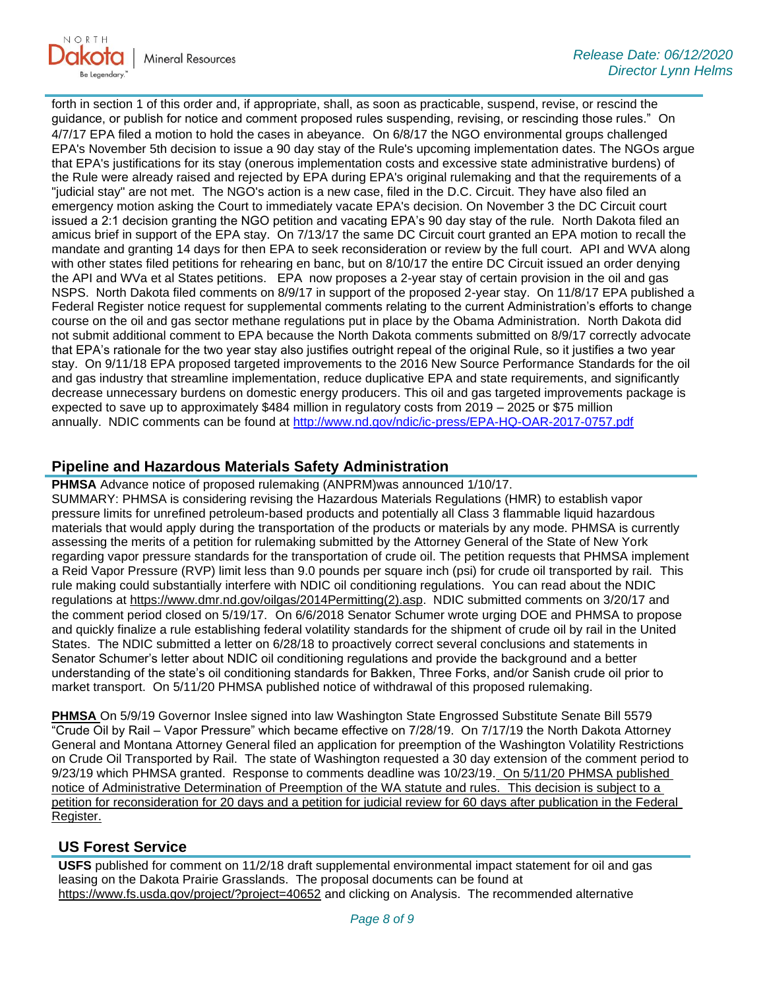

forth in section 1 of this order and, if appropriate, shall, as soon as practicable, suspend, revise, or rescind the guidance, or publish for notice and comment proposed rules suspending, revising, or rescinding those rules." On 4/7/17 EPA filed a motion to hold the cases in abeyance. On 6/8/17 the NGO environmental groups challenged EPA's November 5th decision to issue a 90 day stay of the Rule's upcoming implementation dates. The NGOs argue that EPA's justifications for its stay (onerous implementation costs and excessive state administrative burdens) of the Rule were already raised and rejected by EPA during EPA's original rulemaking and that the requirements of a "judicial stay" are not met. The NGO's action is a new case, filed in the D.C. Circuit. They have also filed an emergency motion asking the Court to immediately vacate EPA's decision. On November 3 the DC Circuit court issued a 2:1 decision granting the NGO petition and vacating EPA's 90 day stay of the rule. North Dakota filed an amicus brief in support of the EPA stay. On 7/13/17 the same DC Circuit court granted an EPA motion to recall the mandate and granting 14 days for then EPA to seek reconsideration or review by the full court. API and WVA along with other states filed petitions for rehearing en banc, but on 8/10/17 the entire DC Circuit issued an order denying the API and WVa et al States petitions. EPA now proposes a 2-year stay of certain provision in the oil and gas NSPS. North Dakota filed comments on 8/9/17 in support of the proposed 2-year stay. On 11/8/17 EPA published a Federal Register notice request for supplemental comments relating to the current Administration's efforts to change course on the oil and gas sector methane regulations put in place by the Obama Administration. North Dakota did not submit additional comment to EPA because the North Dakota comments submitted on 8/9/17 correctly advocate that EPA's rationale for the two year stay also justifies outright repeal of the original Rule, so it justifies a two year stay. On 9/11/18 EPA proposed targeted improvements to the 2016 New Source Performance Standards for the oil and gas industry that streamline implementation, reduce duplicative EPA and state requirements, and significantly decrease unnecessary burdens on domestic energy producers. This oil and gas targeted improvements package is expected to save up to approximately \$484 million in regulatory costs from 2019 – 2025 or \$75 million annually. NDIC comments can be found at<http://www.nd.gov/ndic/ic-press/EPA-HQ-OAR-2017-0757.pdf>

# **Pipeline and Hazardous Materials Safety Administration**

**PHMSA** Advance notice of proposed rulemaking (ANPRM)was announced 1/10/17. SUMMARY: PHMSA is considering revising the Hazardous Materials Regulations (HMR) to establish vapor pressure limits for unrefined petroleum-based products and potentially all Class 3 flammable liquid hazardous materials that would apply during the transportation of the products or materials by any mode. PHMSA is currently assessing the merits of a petition for rulemaking submitted by the Attorney General of the State of New York regarding vapor pressure standards for the transportation of crude oil. The petition requests that PHMSA implement a Reid Vapor Pressure (RVP) limit less than 9.0 pounds per square inch (psi) for crude oil transported by rail. This rule making could substantially interfere with NDIC oil conditioning regulations. You can read about the NDIC regulations at [https://www.dmr.nd.gov/oilgas/2014Permitting\(2\).asp.](https://www.dmr.nd.gov/oilgas/2014Permitting(2).asp) NDIC submitted comments on 3/20/17 and the comment period closed on 5/19/17. On 6/6/2018 Senator Schumer wrote urging DOE and PHMSA to propose and quickly finalize a rule establishing federal volatility standards for the shipment of crude oil by rail in the United States. The NDIC submitted a letter on 6/28/18 to proactively correct several conclusions and statements in Senator Schumer's letter about NDIC oil conditioning regulations and provide the background and a better understanding of the state's oil conditioning standards for Bakken, Three Forks, and/or Sanish crude oil prior to market transport. On 5/11/20 PHMSA published notice of withdrawal of this proposed rulemaking.

**PHMSA** On 5/9/19 Governor Inslee signed into law Washington State Engrossed Substitute Senate Bill 5579 "Crude Oil by Rail – Vapor Pressure" which became effective on 7/28/19. On 7/17/19 the North Dakota Attorney General and Montana Attorney General filed an application for preemption of the Washington Volatility Restrictions on Crude Oil Transported by Rail. The state of Washington requested a 30 day extension of the comment period to 9/23/19 which PHMSA granted. Response to comments deadline was 10/23/19. On 5/11/20 PHMSA published notice of Administrative Determination of Preemption of the WA statute and rules. This decision is subject to a petition for reconsideration for 20 days and a petition for judicial review for 60 days after publication in the Federal Register.

# **US Forest Service**

**USFS** published for comment on 11/2/18 draft supplemental environmental impact statement for oil and gas leasing on the Dakota Prairie Grasslands. The proposal documents can be found at <https://www.fs.usda.gov/project/?project=40652> and clicking on Analysis. The recommended alternative